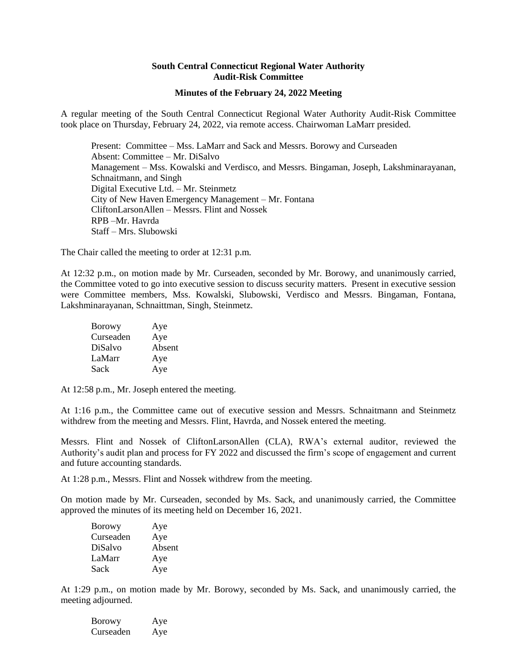## **South Central Connecticut Regional Water Authority Audit-Risk Committee**

## **Minutes of the February 24, 2022 Meeting**

A regular meeting of the South Central Connecticut Regional Water Authority Audit-Risk Committee took place on Thursday, February 24, 2022, via remote access. Chairwoman LaMarr presided.

Present: Committee – Mss. LaMarr and Sack and Messrs. Borowy and Curseaden Absent: Committee – Mr. DiSalvo Management – Mss. Kowalski and Verdisco, and Messrs. Bingaman, Joseph, Lakshminarayanan, Schnaitmann, and Singh Digital Executive Ltd. – Mr. Steinmetz City of New Haven Emergency Management – Mr. Fontana CliftonLarsonAllen – Messrs. Flint and Nossek RPB –Mr. Havrda Staff – Mrs. Slubowski

The Chair called the meeting to order at 12:31 p.m.

At 12:32 p.m., on motion made by Mr. Curseaden, seconded by Mr. Borowy, and unanimously carried, the Committee voted to go into executive session to discuss security matters. Present in executive session were Committee members, Mss. Kowalski, Slubowski, Verdisco and Messrs. Bingaman, Fontana, Lakshminarayanan, Schnaittman, Singh, Steinmetz.

| <b>Borowy</b> | Aye    |
|---------------|--------|
| Curseaden     | Aye    |
| DiSalvo       | Absent |
| LaMarr        | Aye    |
| Sack          | Aye    |

At 12:58 p.m., Mr. Joseph entered the meeting.

At 1:16 p.m., the Committee came out of executive session and Messrs. Schnaitmann and Steinmetz withdrew from the meeting and Messrs. Flint, Havrda, and Nossek entered the meeting.

Messrs. Flint and Nossek of CliftonLarsonAllen (CLA), RWA's external auditor, reviewed the Authority's audit plan and process for FY 2022 and discussed the firm's scope of engagement and current and future accounting standards.

At 1:28 p.m., Messrs. Flint and Nossek withdrew from the meeting.

On motion made by Mr. Curseaden, seconded by Ms. Sack, and unanimously carried, the Committee approved the minutes of its meeting held on December 16, 2021.

| Borowy    | Aye    |
|-----------|--------|
| Curseaden | Aye    |
| DiSalvo   | Absent |
| LaMarr    | Aye    |
| Sack      | Aye    |

At 1:29 p.m., on motion made by Mr. Borowy, seconded by Ms. Sack, and unanimously carried, the meeting adjourned.

| <b>Borowy</b> | Aye |
|---------------|-----|
| Curseaden     | Aye |